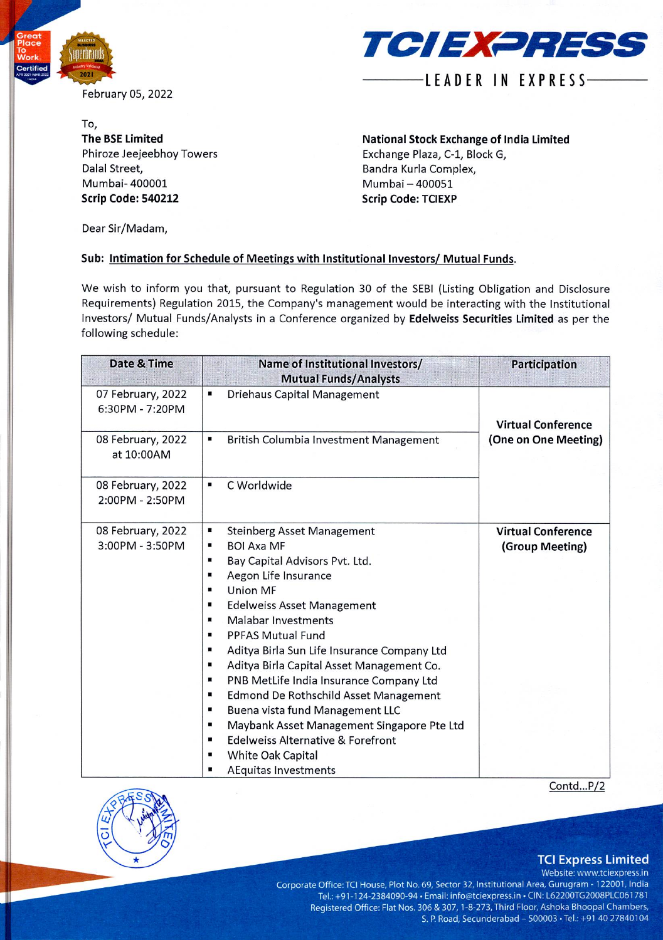



## **LEADER IN EXPRESS**

To, **The BSE Limited** Phiroze Jeejeebhoy Towers Dalai Street, Mumbai-400001 **Scrip Code: 540212**

**National Stock Exchange of India Limited** Exchange Plaza, C-l, Block G, Bandra Kurla Complex, Mumbai-400051 **Scrip Code: TCIEXP**

Dear Sir/Madam,

## **Sub: Intimation for Schedule of Meetings with Institutional Investors/ Mutual Funds.**

We wish to inform you that, pursuant to Regulation 30 of the SEBI (Listing Obligation and Disclosure Requirements) Regulation 2015, the Company's management would be interacting with the Institutional Investors/ Mutual Funds/Analysts in a Conference organized by **Edelweiss Securities Limited** as per the following schedule:

| Date & Time                          | Name of Institutional Investors/<br><b>Mutual Funds/Analysts</b>                                                                                                                                                                                                                                                                                                                                                                                                                                                                                                                                                                                                                      | <b>Participation</b>                         |
|--------------------------------------|---------------------------------------------------------------------------------------------------------------------------------------------------------------------------------------------------------------------------------------------------------------------------------------------------------------------------------------------------------------------------------------------------------------------------------------------------------------------------------------------------------------------------------------------------------------------------------------------------------------------------------------------------------------------------------------|----------------------------------------------|
| 07 February, 2022<br>6:30PM - 7:20PM | <b>Driehaus Capital Management</b><br>п                                                                                                                                                                                                                                                                                                                                                                                                                                                                                                                                                                                                                                               | <b>Virtual Conference</b>                    |
| 08 February, 2022<br>at 10:00AM      | British Columbia Investment Management<br>٠                                                                                                                                                                                                                                                                                                                                                                                                                                                                                                                                                                                                                                           | (One on One Meeting)                         |
| 08 February, 2022<br>2:00PM - 2:50PM | C Worldwide                                                                                                                                                                                                                                                                                                                                                                                                                                                                                                                                                                                                                                                                           |                                              |
| 08 February, 2022<br>3:00PM - 3:50PM | <b>Steinberg Asset Management</b><br>٠<br><b>BOI Axa MF</b><br>٠<br>Bay Capital Advisors Pvt. Ltd.<br>٠<br>Aegon Life Insurance<br>п<br>Union MF<br>٠<br><b>Edelweiss Asset Management</b><br>п<br><b>Malabar Investments</b><br>٠<br>PPFAS Mutual Fund<br>٠<br>Aditya Birla Sun Life Insurance Company Ltd<br>٠<br>Aditya Birla Capital Asset Management Co.<br>٠<br>PNB MetLife India Insurance Company Ltd<br>٠<br><b>Edmond De Rothschild Asset Management</b><br>٠<br>Buena vista fund Management LLC<br>п<br>Maybank Asset Management Singapore Pte Ltd<br>٠<br><b>Edelweiss Alternative &amp; Forefront</b><br>٠<br>White Oak Capital<br>٠<br><b>AEquitas Investments</b><br>٠ | <b>Virtual Conference</b><br>(Group Meeting) |





## **TCI Express Limited** Website: [www.tciexpress.in](http://www.tciexpress.in)

Corporate Office: TCI House, Plot No. 69, Sector 32, Institutional Area, Gurugram - 122001, India Tel.: +91 -124-2384090-94 • Email: [info@tciexpress.in](mailto:info@tciexpress.in) • CIN: L62200TG2008PLC061781 Registered Office: Flat Nos. 306 & 307, 1-8-273, Third Floor, Ashoka Bhoopal Chambers, S. P. Road, Secunderabad - <sup>500003</sup> •Tel.: +91 <sup>40</sup> <sup>27840104</sup>